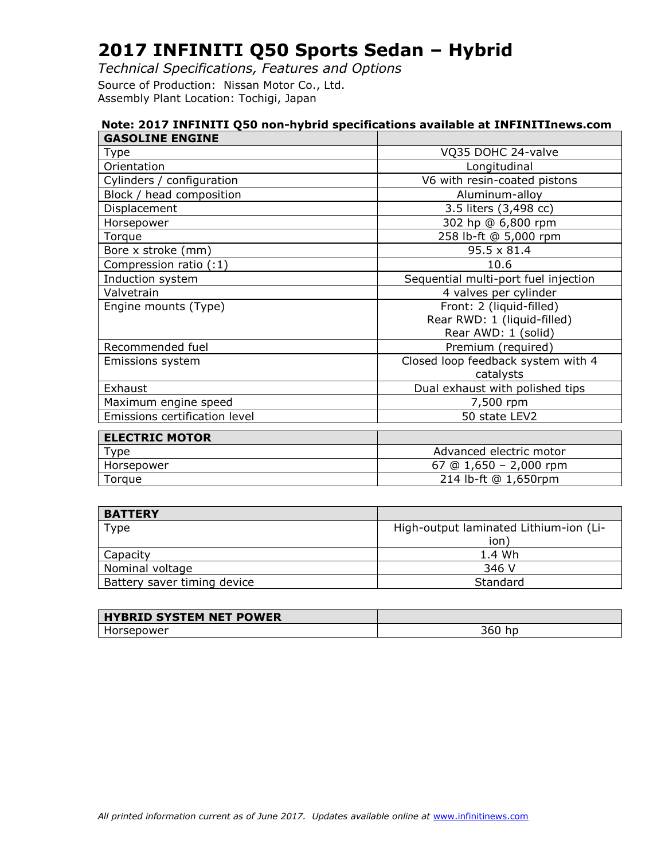*Technical Specifications, Features and Options* Source of Production: Nissan Motor Co., Ltd. Assembly Plant Location: Tochigi, Japan

| Note: 2017 INFINITI Q50 non-hybrid specifications available at INFINITInews.com |                                      |  |
|---------------------------------------------------------------------------------|--------------------------------------|--|
| <b>GASOLINE ENGINE</b>                                                          |                                      |  |
| Type                                                                            | VQ35 DOHC 24-valve                   |  |
| Orientation                                                                     | Longitudinal                         |  |
| Cylinders / configuration                                                       | V6 with resin-coated pistons         |  |
| Block / head composition                                                        | Aluminum-alloy                       |  |
| Displacement                                                                    | 3.5 liters (3,498 cc)                |  |
| Horsepower                                                                      | 302 hp @ 6,800 rpm                   |  |
| Torque                                                                          | 258 lb-ft @ 5,000 rpm                |  |
| Bore x stroke (mm)                                                              | $95.5 \times 81.4$                   |  |
| Compression ratio (:1)                                                          | 10.6                                 |  |
| Induction system                                                                | Sequential multi-port fuel injection |  |
| Valvetrain                                                                      | 4 valves per cylinder                |  |
| Engine mounts (Type)                                                            | Front: 2 (liquid-filled)             |  |
|                                                                                 | Rear RWD: 1 (liquid-filled)          |  |
|                                                                                 | Rear AWD: 1 (solid)                  |  |
| Recommended fuel                                                                | Premium (required)                   |  |
| Emissions system                                                                | Closed loop feedback system with 4   |  |
|                                                                                 | catalysts                            |  |
| Exhaust                                                                         | Dual exhaust with polished tips      |  |
| Maximum engine speed                                                            | 7,500 rpm                            |  |
| Emissions certification level                                                   | 50 state LEV2                        |  |
| <b>ELECTRIC MOTOR</b>                                                           |                                      |  |
| Type                                                                            | Advanced electric motor              |  |
| Horsepower                                                                      | 67 @ $1,650 - 2,000$ rpm             |  |
| Torque                                                                          | 214 lb-ft @ 1,650rpm                 |  |

| <b>BATTERY</b>              |                                        |
|-----------------------------|----------------------------------------|
| Type                        | High-output laminated Lithium-ion (Li- |
|                             | ion                                    |
| Capacity                    | 1.4 Wh                                 |
| Nominal voltage             | 346 V                                  |
| Battery saver timing device | Standard                               |

| <b>HYBRID SYSTEM NET POWER</b> |             |
|--------------------------------|-------------|
| Horsepower                     | hp<br>360 l |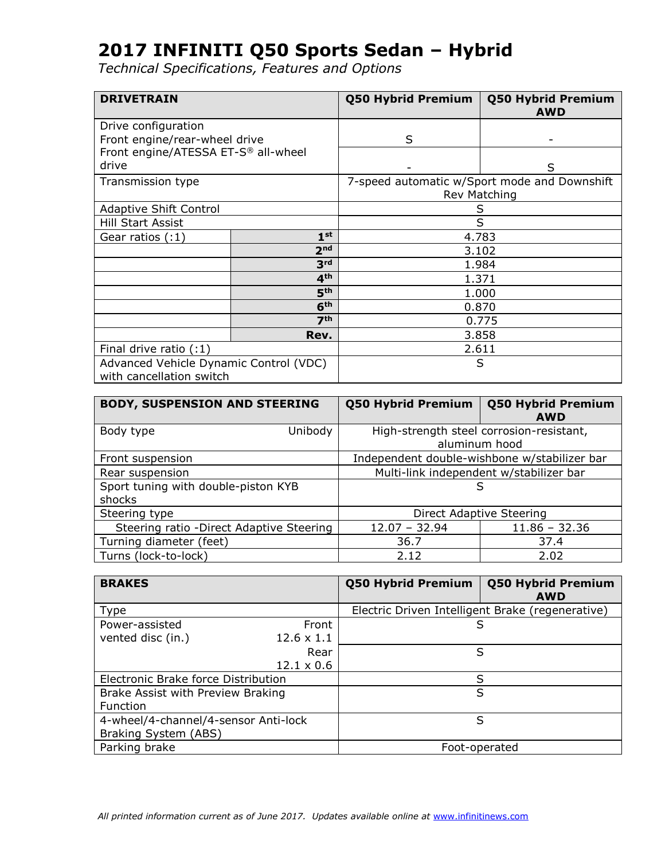| <b>DRIVETRAIN</b>                                                  |                 | Q50 Hybrid Premium | Q50 Hybrid Premium<br><b>AWD</b>                             |
|--------------------------------------------------------------------|-----------------|--------------------|--------------------------------------------------------------|
| Drive configuration<br>Front engine/rear-wheel drive               |                 | S                  |                                                              |
| Front engine/ATESSA ET-S® all-wheel<br>drive                       |                 |                    | S                                                            |
| Transmission type                                                  |                 |                    | 7-speed automatic w/Sport mode and Downshift<br>Rev Matching |
| <b>Adaptive Shift Control</b>                                      |                 |                    | S                                                            |
| Hill Start Assist                                                  |                 | S                  |                                                              |
| Gear ratios (:1)                                                   | 1 <sup>st</sup> |                    | 4.783                                                        |
|                                                                    | 2 <sub>nd</sub> |                    | 3.102                                                        |
|                                                                    | 3 <sup>rd</sup> |                    | 1.984                                                        |
|                                                                    | 4 <sup>th</sup> |                    | 1.371                                                        |
|                                                                    | 5 <sup>th</sup> |                    | 1.000                                                        |
| 6 <sup>th</sup>                                                    |                 | 0.870              |                                                              |
|                                                                    | 7 <sup>th</sup> |                    | 0.775                                                        |
|                                                                    | Rev.            |                    | 3.858                                                        |
| Final drive ratio $(1)$                                            |                 | 2.611              |                                                              |
| Advanced Vehicle Dynamic Control (VDC)<br>with cancellation switch |                 |                    | S                                                            |

| <b>BODY, SUSPENSION AND STEERING</b>          | <b>Q50 Hybrid Premium</b> | <b>Q50 Hybrid Premium</b><br><b>AWD</b>                   |
|-----------------------------------------------|---------------------------|-----------------------------------------------------------|
| Unibody<br>Body type                          |                           | High-strength steel corrosion-resistant,<br>aluminum hood |
| Front suspension                              |                           | Independent double-wishbone w/stabilizer bar              |
| Rear suspension                               |                           | Multi-link independent w/stabilizer bar                   |
| Sport tuning with double-piston KYB<br>shocks |                           | S                                                         |
| Steering type                                 | Direct Adaptive Steering  |                                                           |
| Steering ratio - Direct Adaptive Steering     | $12.07 - 32.94$           | $11.86 - 32.36$                                           |
| Turning diameter (feet)                       | 36.7                      | 37.4                                                      |
| Turns (lock-to-lock)                          | 2.12                      | 2.02                                                      |

| <b>BRAKES</b>                                                |                            | <b>Q50 Hybrid Premium</b> | <b>Q50 Hybrid Premium</b><br><b>AWD</b>          |
|--------------------------------------------------------------|----------------------------|---------------------------|--------------------------------------------------|
| Type                                                         |                            |                           | Electric Driven Intelligent Brake (regenerative) |
| Power-assisted<br>vented disc (in.)                          | Front<br>$12.6 \times 1.1$ |                           | S                                                |
|                                                              | Rear<br>$12.1 \times 0.6$  |                           | S                                                |
| Electronic Brake force Distribution                          |                            |                           | S                                                |
| Brake Assist with Preview Braking<br>Function                |                            |                           | S                                                |
| 4-wheel/4-channel/4-sensor Anti-lock<br>Braking System (ABS) |                            |                           | S                                                |
| Parking brake                                                |                            |                           | Foot-operated                                    |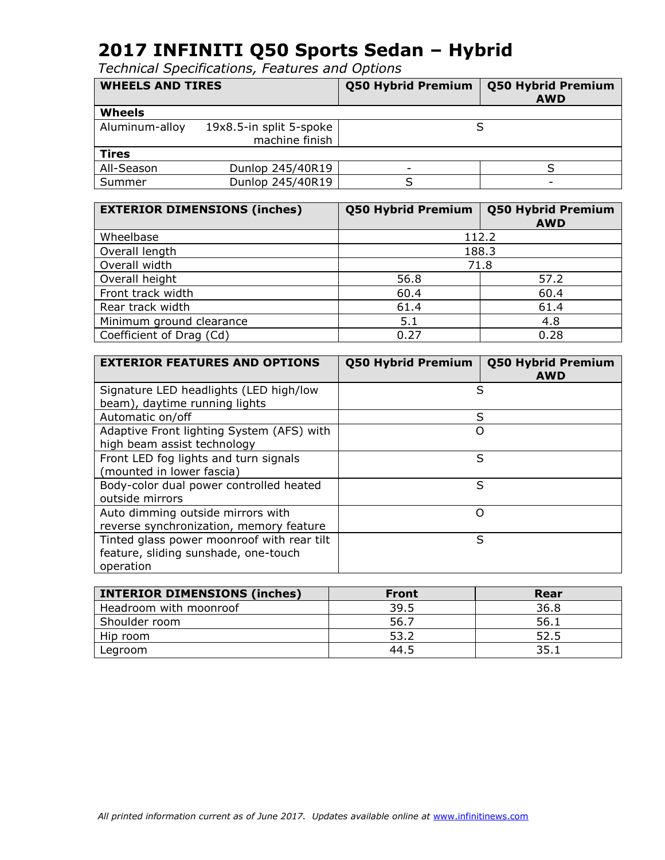| <b>WHEELS AND TIRES</b> |                         | <b>Q50 Hybrid Premium</b> | <b>Q50 Hybrid Premium</b><br><b>AWD</b> |
|-------------------------|-------------------------|---------------------------|-----------------------------------------|
| Wheels                  |                         |                           |                                         |
| Aluminum-alloy          | 19x8.5-in split 5-spoke |                           |                                         |
|                         | machine finish          |                           |                                         |
| <b>Tires</b>            |                         |                           |                                         |
| All-Season              | Dunlop 245/40R19        |                           |                                         |
| Summer                  | Dunlop 245/40R19        |                           |                                         |

| <b>EXTERIOR DIMENSIONS (inches)</b> | <b>Q50 Hybrid Premium</b> | <b>Q50 Hybrid Premium</b><br><b>AWD</b> |
|-------------------------------------|---------------------------|-----------------------------------------|
| Wheelbase                           |                           | 112.2                                   |
| Overall length                      |                           | 188.3                                   |
| Overall width                       | 71.8                      |                                         |
| Overall height                      | 56.8                      | 57.2                                    |
| Front track width                   | 60.4                      | 60.4                                    |
| Rear track width                    | 61.4                      | 61.4                                    |
| Minimum ground clearance            | 5.1                       | 4.8                                     |
| Coefficient of Drag (Cd)            | 0.27                      | 0.28                                    |

| <b>EXTERIOR FEATURES AND OPTIONS</b>                                                            | <b>Q50 Hybrid Premium</b> | <b>Q50 Hybrid Premium</b><br><b>AWD</b> |
|-------------------------------------------------------------------------------------------------|---------------------------|-----------------------------------------|
| Signature LED headlights (LED high/low<br>beam), daytime running lights                         | S                         |                                         |
| Automatic on/off                                                                                | S                         |                                         |
| Adaptive Front lighting System (AFS) with<br>high beam assist technology                        | Ω                         |                                         |
| Front LED fog lights and turn signals<br>(mounted in lower fascia)                              | S                         |                                         |
| Body-color dual power controlled heated<br>outside mirrors                                      | S                         |                                         |
| Auto dimming outside mirrors with<br>reverse synchronization, memory feature                    | O                         |                                         |
| Tinted glass power moonroof with rear tilt<br>feature, sliding sunshade, one-touch<br>operation | S                         |                                         |

| <b>INTERIOR DIMENSIONS (inches)</b> | <b>Front</b> | Rear |
|-------------------------------------|--------------|------|
| Headroom with moonroof              | 39.5         | 36.8 |
| Shoulder room                       | 56.7         | 56.1 |
| Hip room                            | 53.2         | 52.5 |
| Legroom                             | 44.5         | 35.1 |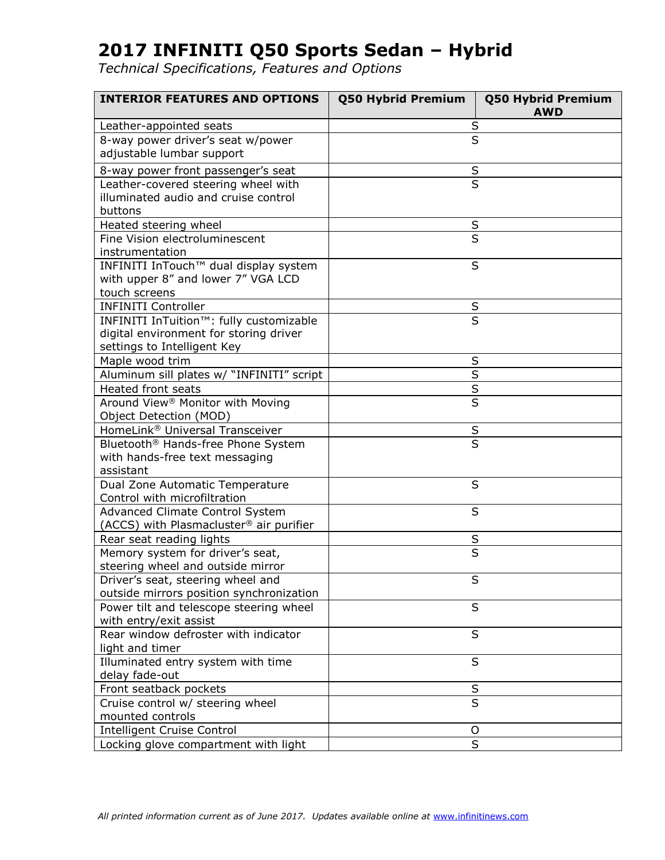| <b>INTERIOR FEATURES AND OPTIONS</b>                                              | <b>Q50 Hybrid Premium</b> | <b>Q50 Hybrid Premium</b><br><b>AWD</b> |
|-----------------------------------------------------------------------------------|---------------------------|-----------------------------------------|
| Leather-appointed seats                                                           | S                         |                                         |
| 8-way power driver's seat w/power<br>adjustable lumbar support                    | $\overline{\mathsf{s}}$   |                                         |
| 8-way power front passenger's seat                                                | $\sf S$                   |                                         |
| Leather-covered steering wheel with                                               | $\overline{\mathsf{s}}$   |                                         |
| illuminated audio and cruise control                                              |                           |                                         |
| buttons                                                                           |                           |                                         |
| Heated steering wheel                                                             | S                         |                                         |
| Fine Vision electroluminescent                                                    | S                         |                                         |
| instrumentation                                                                   |                           |                                         |
| INFINITI InTouch™ dual display system                                             | S                         |                                         |
| with upper 8" and lower 7" VGA LCD                                                |                           |                                         |
| touch screens                                                                     |                           |                                         |
| <b>INFINITI Controller</b>                                                        | S                         |                                         |
| INFINITI InTuition™: fully customizable                                           | $\overline{\mathsf{s}}$   |                                         |
| digital environment for storing driver                                            |                           |                                         |
| settings to Intelligent Key                                                       |                           |                                         |
| Maple wood trim                                                                   | S                         |                                         |
| Aluminum sill plates w/ "INFINITI" script                                         | $\overline{\mathsf{s}}$   |                                         |
| <b>Heated front seats</b>                                                         | $\sf S$                   |                                         |
| Around View <sup>®</sup> Monitor with Moving                                      | S                         |                                         |
| Object Detection (MOD)                                                            |                           |                                         |
| HomeLink® Universal Transceiver                                                   | S                         |                                         |
| Bluetooth® Hands-free Phone System                                                | $\overline{\mathsf{s}}$   |                                         |
| with hands-free text messaging                                                    |                           |                                         |
| assistant                                                                         |                           |                                         |
| Dual Zone Automatic Temperature                                                   | S                         |                                         |
| Control with microfiltration                                                      |                           |                                         |
| <b>Advanced Climate Control System</b><br>(ACCS) with Plasmacluster® air purifier | S                         |                                         |
|                                                                                   |                           |                                         |
| Rear seat reading lights<br>Memory system for driver's seat,                      | S<br>S                    |                                         |
| steering wheel and outside mirror                                                 |                           |                                         |
| Driver's seat, steering wheel and                                                 |                           |                                         |
| outside mirrors position synchronization                                          | ১                         |                                         |
| Power tilt and telescope steering wheel                                           | S                         |                                         |
| with entry/exit assist                                                            |                           |                                         |
| Rear window defroster with indicator                                              | S                         |                                         |
| light and timer                                                                   |                           |                                         |
| Illuminated entry system with time                                                | S                         |                                         |
| delay fade-out                                                                    |                           |                                         |
| Front seatback pockets                                                            | S                         |                                         |
| Cruise control w/ steering wheel                                                  | S                         |                                         |
| mounted controls                                                                  |                           |                                         |
| <b>Intelligent Cruise Control</b>                                                 | O                         |                                         |
| Locking glove compartment with light                                              | S                         |                                         |
|                                                                                   |                           |                                         |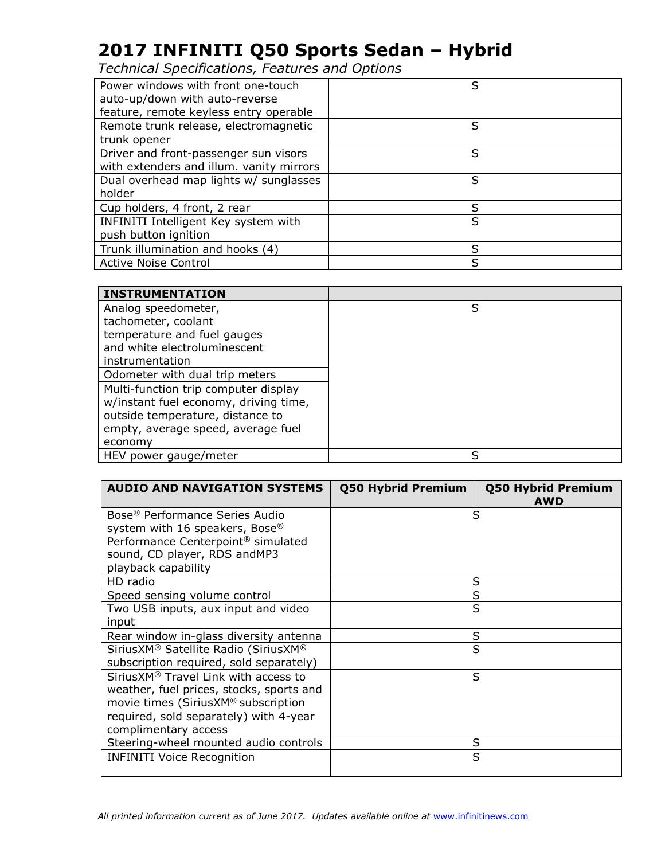| Power windows with front one-touch       | S |
|------------------------------------------|---|
| auto-up/down with auto-reverse           |   |
| feature, remote keyless entry operable   |   |
| Remote trunk release, electromagnetic    | S |
| trunk opener                             |   |
| Driver and front-passenger sun visors    | S |
| with extenders and illum. vanity mirrors |   |
| Dual overhead map lights w/ sunglasses   | S |
| holder                                   |   |
| Cup holders, 4 front, 2 rear             | S |
| INFINITI Intelligent Key system with     | S |
| push button ignition                     |   |
| Trunk illumination and hooks (4)         | S |
| <b>Active Noise Control</b>              | S |
|                                          |   |

| <b>INSTRUMENTATION</b>                |   |
|---------------------------------------|---|
| Analog speedometer,                   | S |
| tachometer, coolant                   |   |
| temperature and fuel gauges           |   |
| and white electroluminescent          |   |
| instrumentation                       |   |
| Odometer with dual trip meters        |   |
| Multi-function trip computer display  |   |
| w/instant fuel economy, driving time, |   |
| outside temperature, distance to      |   |
| empty, average speed, average fuel    |   |
| economy                               |   |
| HEV power gauge/meter                 | S |

| <b>AUDIO AND NAVIGATION SYSTEMS</b>            | Q50 Hybrid Premium | <b>Q50 Hybrid Premium</b><br><b>AWD</b> |
|------------------------------------------------|--------------------|-----------------------------------------|
| Bose <sup>®</sup> Performance Series Audio     | S                  |                                         |
| system with 16 speakers, Bose®                 |                    |                                         |
| Performance Centerpoint <sup>®</sup> simulated |                    |                                         |
| sound, CD player, RDS andMP3                   |                    |                                         |
| playback capability                            |                    |                                         |
| HD radio                                       | S                  |                                         |
| Speed sensing volume control                   | S                  |                                         |
| Two USB inputs, aux input and video            | S                  |                                         |
| input                                          |                    |                                         |
| Rear window in-glass diversity antenna         | S                  |                                         |
| SiriusXM® Satellite Radio (SiriusXM®           | S                  |                                         |
| subscription required, sold separately)        |                    |                                         |
| SiriusXM® Travel Link with access to           | S                  |                                         |
| weather, fuel prices, stocks, sports and       |                    |                                         |
| movie times (SiriusXM® subscription            |                    |                                         |
| required, sold separately) with 4-year         |                    |                                         |
| complimentary access                           |                    |                                         |
| Steering-wheel mounted audio controls          | S                  |                                         |
| <b>INFINITI Voice Recognition</b>              | S                  |                                         |
|                                                |                    |                                         |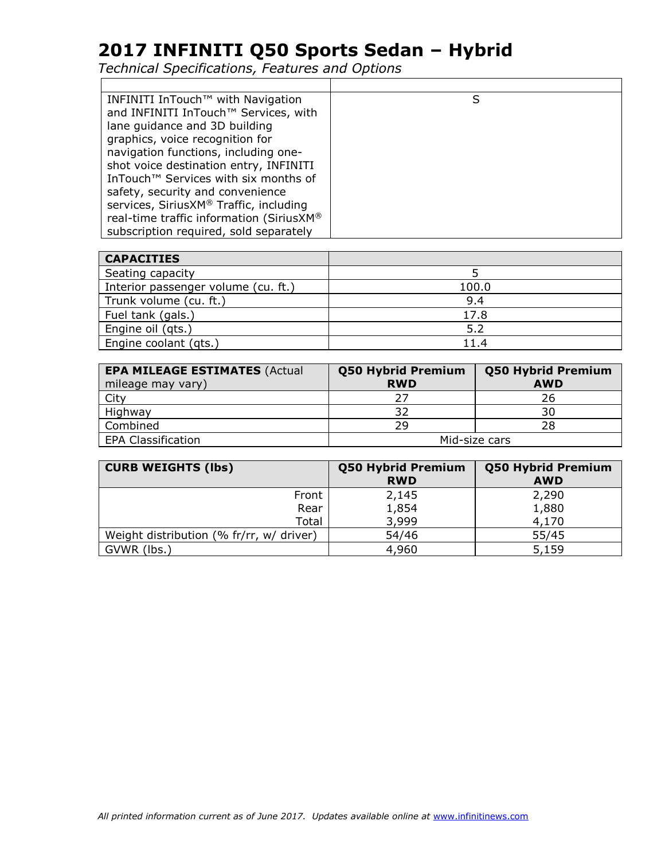| INFINITI InTouch™ with Navigation                | S |
|--------------------------------------------------|---|
| and INFINITI InTouch™ Services, with             |   |
| lane quidance and 3D building                    |   |
| graphics, voice recognition for                  |   |
| navigation functions, including one-             |   |
| shot voice destination entry, INFINITI           |   |
| InTouch <sup>™</sup> Services with six months of |   |
| safety, security and convenience                 |   |
| services, SiriusXM® Traffic, including           |   |
| real-time traffic information (SiriusXM®         |   |
| subscription required, sold separately           |   |

| <b>CAPACITIES</b>                   |       |
|-------------------------------------|-------|
| Seating capacity                    |       |
| Interior passenger volume (cu. ft.) | 100.0 |
| Trunk volume (cu. ft.)              | 9.4   |
| Fuel tank (gals.)                   | 17.8  |
| Engine oil (gts.)                   | 5.2   |
| Engine coolant (qts.)               | 11.4  |

| <b>EPA MILEAGE ESTIMATES (Actual</b><br>mileage may vary) | <b>Q50 Hybrid Premium</b><br><b>RWD</b> | <b>Q50 Hybrid Premium</b><br><b>AWD</b> |
|-----------------------------------------------------------|-----------------------------------------|-----------------------------------------|
| City                                                      |                                         | 26                                      |
| Highway                                                   | 32                                      | 30                                      |
| Combined                                                  | 29                                      | 28                                      |
| <b>EPA Classification</b>                                 | Mid-size cars                           |                                         |

| <b>CURB WEIGHTS (lbs)</b>                | <b>Q50 Hybrid Premium</b><br><b>RWD</b> | <b>Q50 Hybrid Premium</b><br><b>AWD</b> |
|------------------------------------------|-----------------------------------------|-----------------------------------------|
| Front                                    | 2,145                                   | 2,290                                   |
| Rear                                     | 1,854                                   | 1,880                                   |
| Total                                    | 3,999                                   | 4,170                                   |
| Weight distribution (% fr/rr, w/ driver) | 54/46                                   | 55/45                                   |
| GVWR (lbs.)                              | 4,960                                   | 5,159                                   |